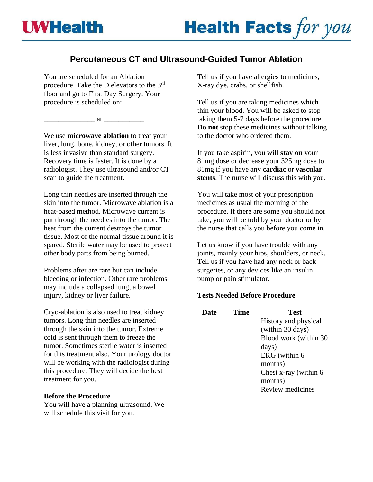# **Percutaneous CT and Ultrasound-Guided Tumor Ablation**

You are scheduled for an Ablation procedure. Take the D elevators to the 3rd floor and go to First Day Surgery. Your procedure is scheduled on:

 $\qquad \qquad \text{at } \qquad \qquad \qquad .$ 

We use **microwave ablation** to treat your liver, lung, bone, kidney, or other tumors. It is less invasive than standard surgery. Recovery time is faster. It is done by a radiologist. They use ultrasound and/or CT scan to guide the treatment.

Long thin needles are inserted through the skin into the tumor. Microwave ablation is a heat-based method. Microwave current is put through the needles into the tumor. The heat from the current destroys the tumor tissue. Most of the normal tissue around it is spared. Sterile water may be used to protect other body parts from being burned.

Problems after are rare but can include bleeding or infection. Other rare problems may include a collapsed lung, a bowel injury, kidney or liver failure.

Cryo-ablation is also used to treat kidney tumors. Long thin needles are inserted through the skin into the tumor. Extreme cold is sent through them to freeze the tumor. Sometimes sterile water is inserted for this treatment also. Your urology doctor will be working with the radiologist during this procedure. They will decide the best treatment for you.

# **Before the Procedure**

You will have a planning ultrasound. We will schedule this visit for you.

Tell us if you have allergies to medicines, X-ray dye, crabs, or shellfish.

Tell us if you are taking medicines which thin your blood. You will be asked to stop taking them 5-7 days before the procedure. **Do not** stop these medicines without talking to the doctor who ordered them.

If you take aspirin, you will **stay on** your 81mg dose or decrease your 325mg dose to 81mg if you have any **cardiac** or **vascular stents**. The nurse will discuss this with you.

You will take most of your prescription medicines as usual the morning of the procedure. If there are some you should not take, you will be told by your doctor or by the nurse that calls you before you come in.

Let us know if you have trouble with any joints, mainly your hips, shoulders, or neck. Tell us if you have had any neck or back surgeries, or any devices like an insulin pump or pain stimulator.

# **Tests Needed Before Procedure**

| Date | <b>Time</b> | <b>Test</b>           |
|------|-------------|-----------------------|
|      |             | History and physical  |
|      |             | (within 30 days)      |
|      |             | Blood work (within 30 |
|      |             | days)                 |
|      |             | EKG (within 6         |
|      |             | months)               |
|      |             | Chest x-ray (within 6 |
|      |             | months)               |
|      |             | Review medicines      |
|      |             |                       |